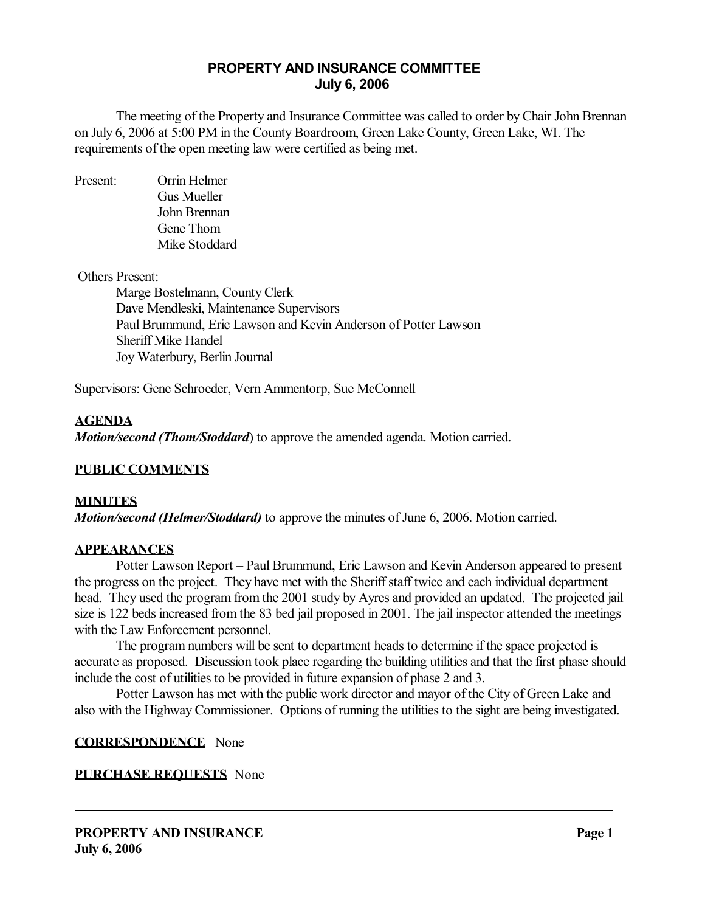# **PROPERTY AND INSURANCE COMMITTEE July 6, 2006**

 The meeting of the Property and Insurance Committee was called to order by Chair John Brennan on July 6, 2006 at 5:00 PM in the County Boardroom, Green Lake County, Green Lake, WI. The requirements of the open meeting law were certified as being met.

Present: Orrin Helmer Gus Mueller John Brennan Gene Thom Mike Stoddard

#### Others Present:

 Marge Bostelmann, County Clerk Dave Mendleski, Maintenance Supervisors Paul Brummund, Eric Lawson and Kevin Anderson of Potter Lawson Sheriff Mike Handel Joy Waterbury, Berlin Journal

Supervisors: Gene Schroeder, Vern Ammentorp, Sue McConnell

#### **AGENDA**

*Motion/second (Thom/Stoddard*) to approve the amended agenda. Motion carried.

#### **PUBLIC COMMENTS**

#### **MINUTES**

*Motion/second (Helmer/Stoddard)* to approve the minutes of June 6, 2006. Motion carried.

#### **APPEARANCES**

 Potter Lawson Report – Paul Brummund, Eric Lawson and Kevin Anderson appeared to present the progress on the project. They have met with the Sheriff staff twice and each individual department head. They used the program from the 2001 study by Ayres and provided an updated. The projected jail size is 122 beds increased from the 83 bed jail proposed in 2001. The jail inspector attended the meetings with the Law Enforcement personnel.

 The program numbers will be sent to department heads to determine if the space projected is accurate as proposed. Discussion took place regarding the building utilities and that the first phase should include the cost of utilities to be provided in future expansion of phase 2 and 3.

 Potter Lawson has met with the public work director and mayor of the City of Green Lake and also with the Highway Commissioner. Options of running the utilities to the sight are being investigated.

#### **CORRESPONDENCE** None

#### **PURCHASE REQUESTS** None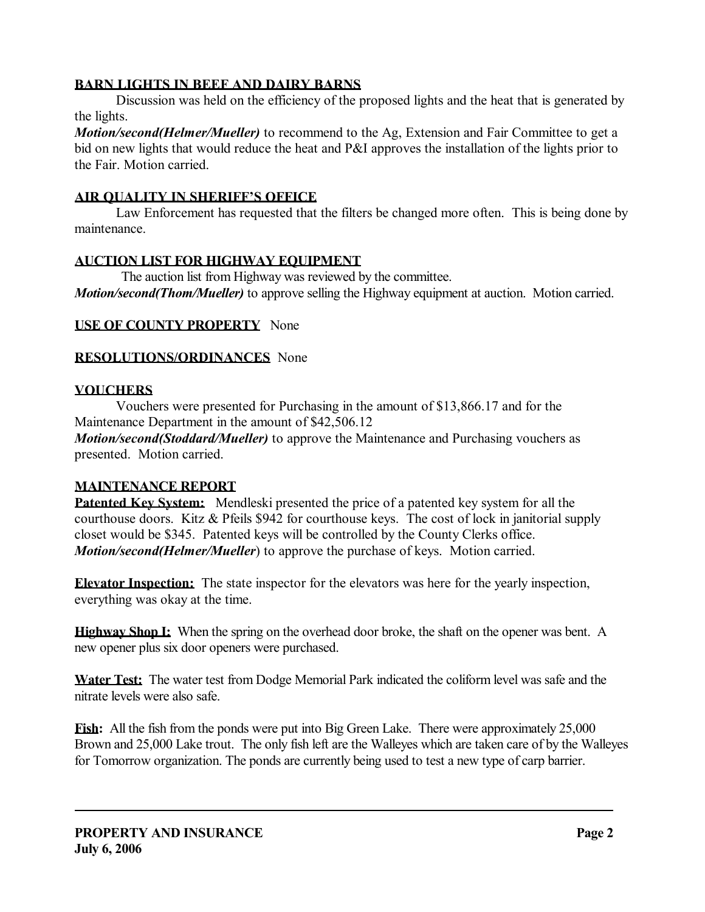## **BARN LIGHTS IN BEEF AND DAIRY BARNS**

 Discussion was held on the efficiency of the proposed lights and the heat that is generated by the lights.

*Motion/second(Helmer/Mueller)* to recommend to the Ag, Extension and Fair Committee to get a bid on new lights that would reduce the heat and P&I approves the installation of the lights prior to the Fair. Motion carried.

## **AIR QUALITY IN SHERIFF'S OFFICE**

 Law Enforcement has requested that the filters be changed more often. This is being done by maintenance.

## **AUCTION LIST FOR HIGHWAY EQUIPMENT**

The auction list from Highway was reviewed by the committee.

*Motion/second(Thom/Mueller)* to approve selling the Highway equipment at auction. Motion carried.

## **USE OF COUNTY PROPERTY** None

## **RESOLUTIONS/ORDINANCES** None

## **VOUCHERS**

 Vouchers were presented for Purchasing in the amount of \$13,866.17 and for the Maintenance Department in the amount of \$42,506.12

*Motion/second(Stoddard/Mueller)* to approve the Maintenance and Purchasing vouchers as presented. Motion carried.

#### **MAINTENANCE REPORT**

**Patented Key System:** Mendleski presented the price of a patented key system for all the courthouse doors. Kitz & Pfeils \$942 for courthouse keys. The cost of lock in janitorial supply closet would be \$345. Patented keys will be controlled by the County Clerks office. *Motion/second(Helmer/Mueller*) to approve the purchase of keys. Motion carried.

**Elevator Inspection:** The state inspector for the elevators was here for the yearly inspection, everything was okay at the time.

**Highway Shop I:** When the spring on the overhead door broke, the shaft on the opener was bent. A new opener plus six door openers were purchased.

**Water Test:** The water test from Dodge Memorial Park indicated the coliform level was safe and the nitrate levels were also safe.

**Fish:** All the fish from the ponds were put into Big Green Lake. There were approximately 25,000 Brown and 25,000 Lake trout. The only fish left are the Walleyes which are taken care of by the Walleyes for Tomorrow organization. The ponds are currently being used to test a new type of carp barrier.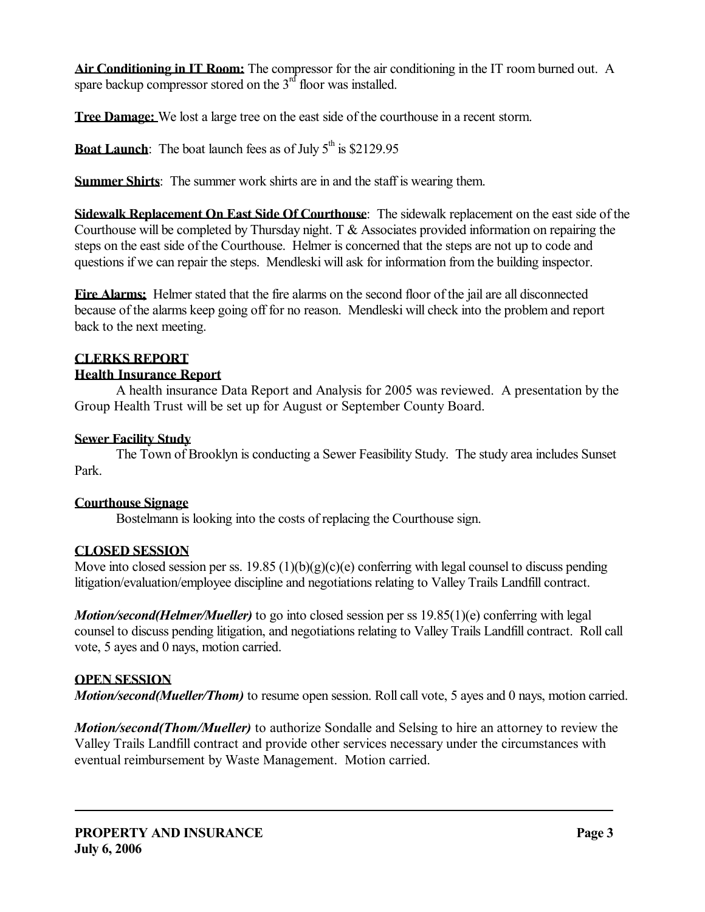**Air Conditioning in IT Room:** The compressor for the air conditioning in the IT room burned out. A spare backup compressor stored on the  $3<sup>rd</sup>$  floor was installed.

**Tree Damage:** We lost a large tree on the east side of the courthouse in a recent storm.

**Boat Launch**: The boat launch fees as of July  $5<sup>th</sup>$  is \$2129.95

**Summer Shirts**: The summer work shirts are in and the staff is wearing them.

**Sidewalk Replacement On East Side Of Courthouse**: The sidewalk replacement on the east side of the Courthouse will be completed by Thursday night. T & Associates provided information on repairing the steps on the east side of the Courthouse. Helmer is concerned that the steps are not up to code and questions if we can repair the steps. Mendleski will ask for information from the building inspector.

**Fire Alarms;** Helmer stated that the fire alarms on the second floor of the jail are all disconnected because of the alarms keep going off for no reason. Mendleski will check into the problem and report back to the next meeting.

# **CLERKS REPORT**

# **Health Insurance Report**

 A health insurance Data Report and Analysis for 2005 was reviewed. A presentation by the Group Health Trust will be set up for August or September County Board.

# **Sewer Facility Study**

 The Town of Brooklyn is conducting a Sewer Feasibility Study. The study area includes Sunset Park.

# **Courthouse Signage**

Bostelmann is looking into the costs of replacing the Courthouse sign.

# **CLOSED SESSION**

Move into closed session per ss.  $19.85 (1)(b)(g)(c)(e)$  conferring with legal counsel to discuss pending litigation/evaluation/employee discipline and negotiations relating to Valley Trails Landfill contract.

*Motion/second(Helmer/Mueller)* to go into closed session per ss 19.85(1)(e) conferring with legal counsel to discuss pending litigation, and negotiations relating to Valley Trails Landfill contract. Roll call vote, 5 ayes and 0 nays, motion carried.

# **OPEN SESSION**

*Motion/second(Mueller/Thom)* to resume open session. Roll call vote, 5 ayes and 0 nays, motion carried.

*Motion/second(Thom/Mueller)* to authorize Sondalle and Selsing to hire an attorney to review the Valley Trails Landfill contract and provide other services necessary under the circumstances with eventual reimbursement by Waste Management. Motion carried.